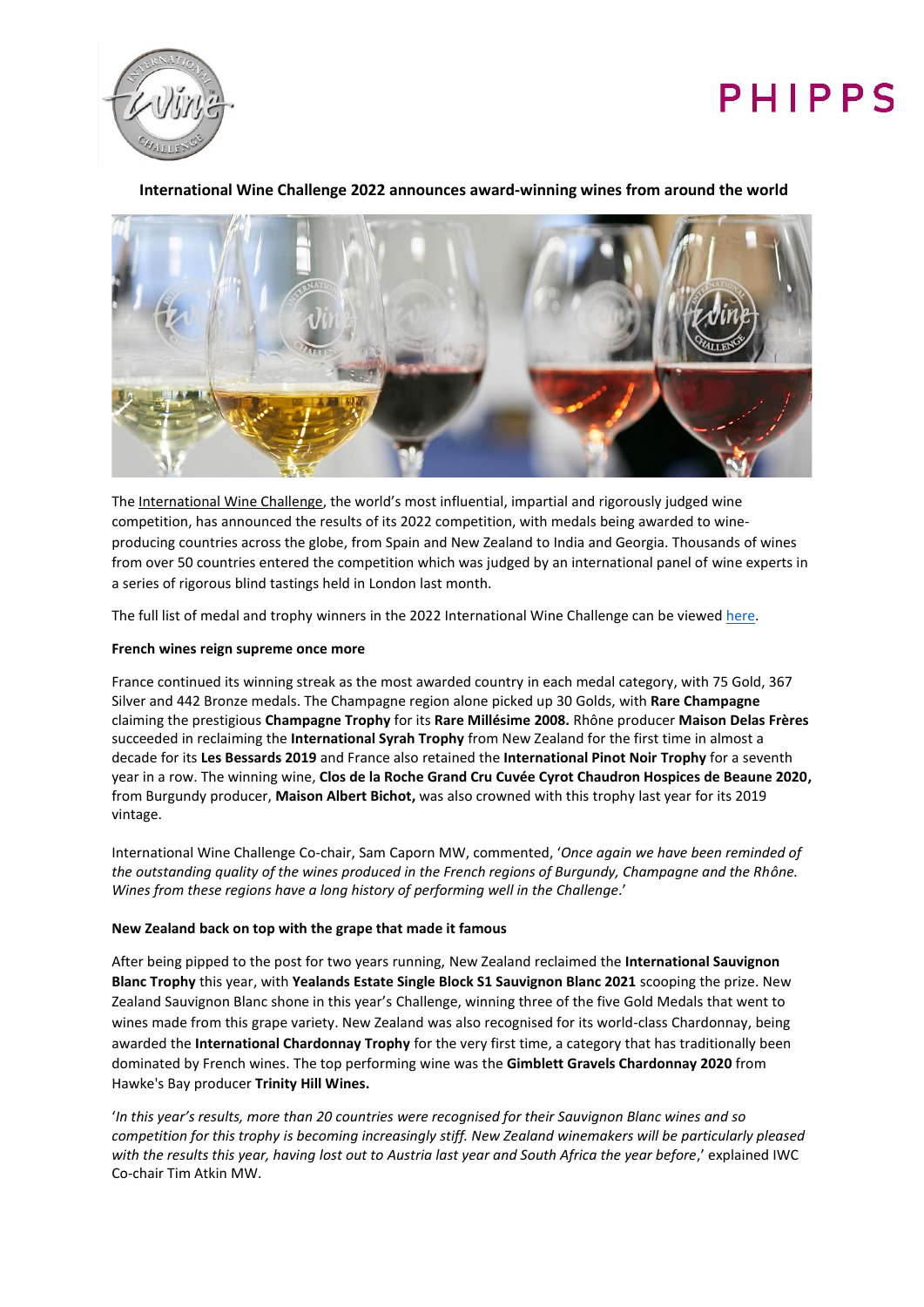

# PHIPPS

# **International Wine Challenge 2022 announces award-winning wines from around the world**



Th[e International Wine Challenge](https://www.internationalwinechallenge.com/), the world's most influential, impartial and rigorously judged wine competition, has announced the results of its 2022 competition, with medals being awarded to wineproducing countries across the globe, from Spain and New Zealand to India and Georgia. Thousands of wines from over 50 countries entered the competition which was judged by an international panel of wine experts in a series of rigorous blind tastings held in London last month.

The full list of medal and trophy winners in the 2022 International Wine Challenge can be viewed [here.](https://www.internationalwinechallenge.com/canopy/search_results?wpcat=WineTab.S&Challenge_Year=2022_993276&Score=&Country=)

## **French wines reign supreme once more**

France continued its winning streak as the most awarded country in each medal category, with 75 Gold, 367 Silver and 442 Bronze medals. The Champagne region alone picked up 30 Golds, with **Rare Champagne** claiming the prestigious **Champagne Trophy** for its **Rare Millésime 2008.** Rhône producer **Maison Delas Frères** succeeded in reclaiming the **International Syrah Trophy** from New Zealand for the first time in almost a decade for its **Les Bessards 2019** and France also retained the **International Pinot Noir Trophy** for a seventh year in a row. The winning wine, **Clos de la Roche Grand Cru Cuvée Cyrot Chaudron Hospices de Beaune 2020,** from Burgundy producer, **Maison Albert Bichot,** was also crowned with this trophy last year for its 2019 vintage.

International Wine Challenge Co-chair, Sam Caporn MW, commented, '*Once again we have been reminded of the outstanding quality of the wines produced in the French regions of Burgundy, Champagne and the Rhône. Wines from these regions have a long history of performing well in the Challenge*.'

# **New Zealand back on top with the grape that made it famous**

After being pipped to the post for two years running, New Zealand reclaimed the **International Sauvignon Blanc Trophy** this year, with **Yealands Estate Single Block S1 Sauvignon Blanc 2021** scooping the prize. New Zealand Sauvignon Blanc shone in this year's Challenge, winning three of the five Gold Medals that went to wines made from this grape variety. New Zealand was also recognised for its world-class Chardonnay, being awarded the **International Chardonnay Trophy** for the very first time, a category that has traditionally been dominated by French wines. The top performing wine was the **Gimblett Gravels Chardonnay 2020** from Hawke's Bay producer **Trinity Hill Wines.**

'*In this year's results, more than 20 countries were recognised for their Sauvignon Blanc wines and so competition for this trophy is becoming increasingly stiff. New Zealand winemakers will be particularly pleased with the results this year, having lost out to Austria last year and South Africa the year before*,' explained IWC Co-chair Tim Atkin MW.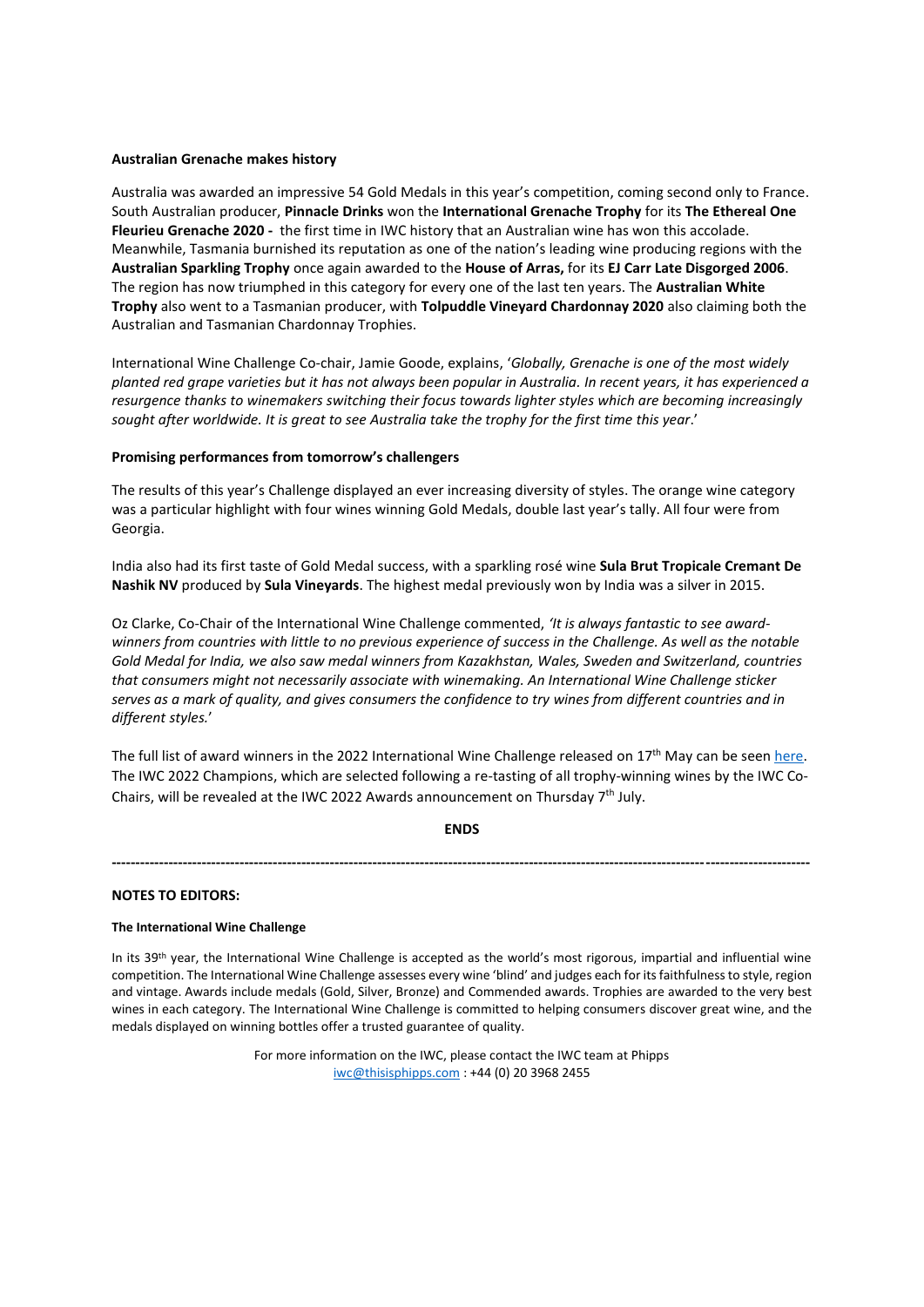#### **Australian Grenache makes history**

Australia was awarded an impressive 54 Gold Medals in this year's competition, coming second only to France. South Australian producer, **Pinnacle Drinks** won the **International Grenache Trophy** for its **The Ethereal One Fleurieu Grenache 2020 -** the first time in IWC history that an Australian wine has won this accolade. Meanwhile, Tasmania burnished its reputation as one of the nation's leading wine producing regions with the **Australian Sparkling Trophy** once again awarded to the **House of Arras,** for its **EJ Carr Late Disgorged 2006**. The region has now triumphed in this category for every one of the last ten years. The **Australian White Trophy** also went to a Tasmanian producer, with **Tolpuddle Vineyard Chardonnay 2020** also claiming both the Australian and Tasmanian Chardonnay Trophies.

International Wine Challenge Co-chair, Jamie Goode, explains, '*Globally, Grenache is one of the most widely planted red grape varieties but it has not always been popular in Australia. In recent years, it has experienced a resurgence thanks to winemakers switching their focus towards lighter styles which are becoming increasingly sought after worldwide. It is great to see Australia take the trophy for the first time this year*.'

#### **Promising performances from tomorrow's challengers**

The results of this year's Challenge displayed an ever increasing diversity of styles. The orange wine category was a particular highlight with four wines winning Gold Medals, double last year's tally. All four were from Georgia.

India also had its first taste of Gold Medal success, with a sparkling rosé wine **Sula Brut Tropicale Cremant De Nashik NV** produced by **Sula Vineyards**. The highest medal previously won by India was a silver in 2015.

Oz Clarke, Co-Chair of the International Wine Challenge commented, *'It is always fantastic to see awardwinners from countries with little to no previous experience of success in the Challenge. As well as the notable Gold Medal for India, we also saw medal winners from Kazakhstan, Wales, Sweden and Switzerland, countries that consumers might not necessarily associate with winemaking. An International Wine Challenge sticker serves as a mark of quality, and gives consumers the confidence to try wines from different countries and in different styles.*'

The full list of award winners in the 2022 International Wine Challenge released on  $17<sup>th</sup>$  May can be seen [here.](https://www.internationalwinechallenge.com/canopy/search_results?wpcat=WineTab.S&Challenge_Year=2022_993276&Score=&Country=) The IWC 2022 Champions, which are selected following a re-tasting of all trophy-winning wines by the IWC Co-Chairs, will be revealed at the IWC 2022 Awards announcement on Thursday  $7<sup>th</sup>$  July.

#### **ENDS**

**---------------------------------------------------------------------------------------------------------------------------------------------------**

#### **NOTES TO EDITORS:**

## **The International Wine Challenge**

In its 39<sup>th</sup> year, the International Wine Challenge is accepted as the world's most rigorous, impartial and influential wine competition. The International Wine Challenge assesses every wine 'blind' and judges each for its faithfulness to style, region and vintage. Awards include medals (Gold, Silver, Bronze) and Commended awards. Trophies are awarded to the very best wines in each category. The International Wine Challenge is committed to helping consumers discover great wine, and the medals displayed on winning bottles offer a trusted guarantee of quality.

> For more information on the IWC, please contact the IWC team at Phipps [iwc@thisisphipps.com](mailto:iwc@thisisphipps.com) : +44 (0) 20 3968 2455